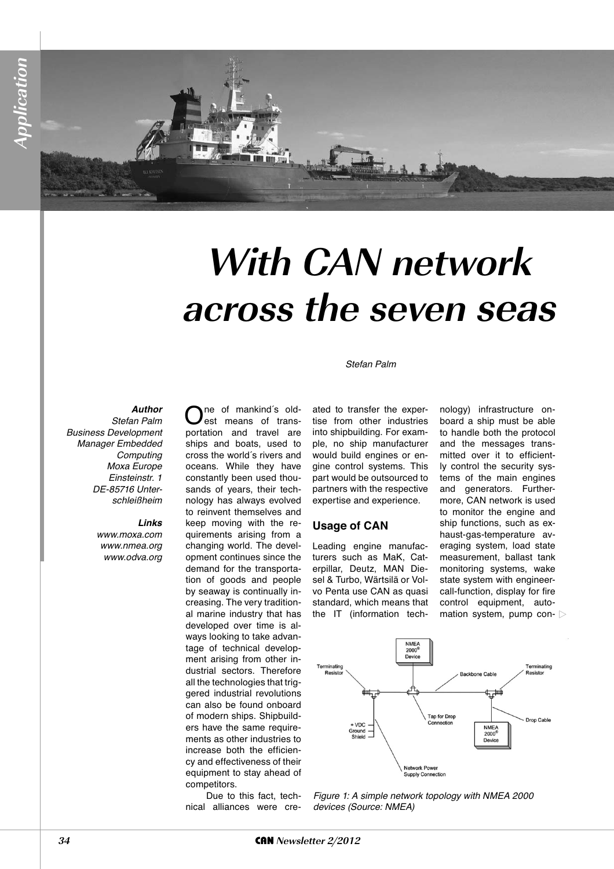# **With CAN network across the seven seas**

#### Stefan Palm

#### *Author*

Stefan Palm Business Development Manager Embedded **Computing** Moxa Europe Einsteinstr. 1 DE-85716 Unterschleißheim

#### *Links*

www.moxa.com www.nmea.org www.odva.org

ne of mankind's oldest means of transportation and travel are ships and boats, used to cross the world´s rivers and oceans. While they have constantly been used thousands of years, their technology has always evolved to reinvent themselves and keep moving with the requirements arising from a changing world. The development continues since the demand for the transportation of goods and people by seaway is continually increasing. The very traditional marine industry that has developed over time is always looking to take advantage of technical development arising from other industrial sectors. Therefore all the technologies that triggered industrial revolutions can also be found onboard of modern ships. Shipbuilders have the same requirements as other industries to increase both the efficiency and effectiveness of their equipment to stay ahead of competitors.

Due to this fact, technical alliances were created to transfer the expertise from other industries into shipbuilding. For example, no ship manufacturer would build engines or engine control systems. This part would be outsourced to partners with the respective expertise and experience.

#### **Usage of CAN**

Leading engine manufacturers such as MaK, Caterpillar, Deutz, MAN Diesel & Turbo, Wärtsilä or Volvo Penta use CAN as quasi standard, which means that the IT (information technology) infrastructure onboard a ship must be able to handle both the protocol and the messages transmitted over it to efficiently control the security systems of the main engines and generators. Furthermore, CAN network is used to monitor the engine and ship functions, such as exhaust-gas-temperature averaging system, load state measurement, ballast tank monitoring systems, wake state system with engineercall-function, display for fire control equipment, automation system, pump con-



Figure 1: A simple network topology with NMEA 2000 devices (Source: NMEA)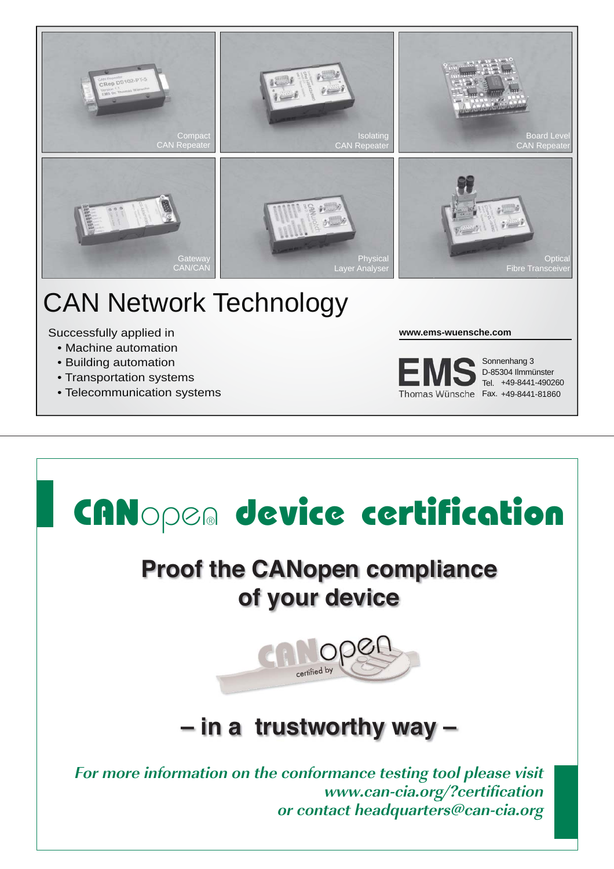

## CAN Network Technology

Successfully applied in

- Machine automation
- Building automation
- Transportation systems
- Telecommunication systems

**www.ems-wuensche.com**



+49-8441-490260 Tel. Sonnenhang 3 D-85304 Ilmmünster

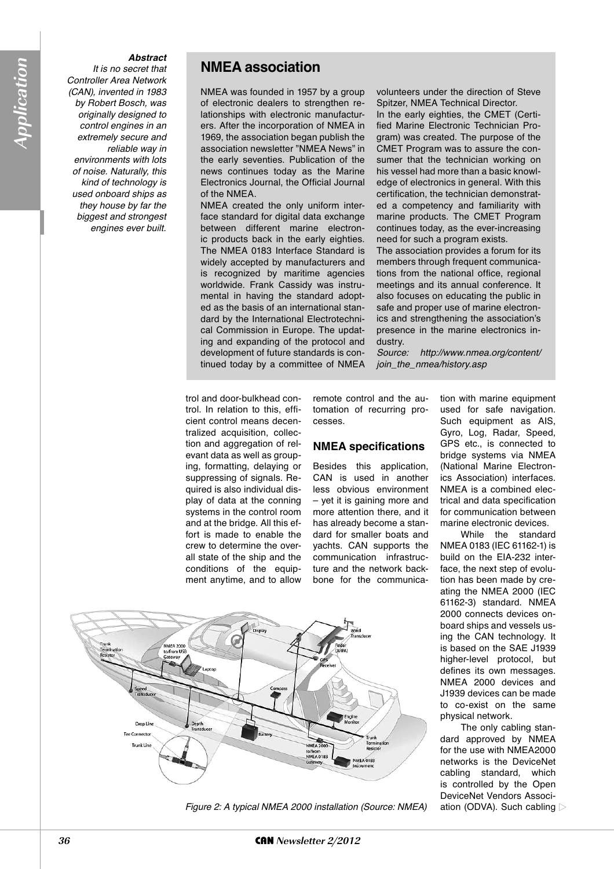#### *Abstract*

It is no secret that Controller Area Network (CAN), invented in 1983 by Robert Bosch, was originally designed to control engines in an extremely secure and reliable way in environments with lots of noise. Naturally, this kind of technology is used onboard ships as they house by far the biggest and strongest engines ever built.

#### **NMEA association**

NMEA was founded in 1957 by a group of electronic dealers to strengthen relationships with electronic manufacturers. After the incorporation of NMEA in 1969, the association began publish the association newsletter "NMEA News" in the early seventies. Publication of the news continues today as the Marine Electronics Journal, the Official Journal of the NMEA.

NMEA created the only uniform interface standard for digital data exchange between different marine electronic products back in the early eighties. The NMEA 0183 Interface Standard is widely accepted by manufacturers and is recognized by maritime agencies worldwide. Frank Cassidy was instrumental in having the standard adopted as the basis of an international standard by the International Electrotechnical Commission in Europe. The updating and expanding of the protocol and development of future standards is continued today by a committee of NMEA volunteers under the direction of Steve Spitzer, NMEA Technical Director.

In the early eighties, the CMET (Certified Marine Electronic Technician Program) was created. The purpose of the CMET Program was to assure the consumer that the technician working on his vessel had more than a basic knowledge of electronics in general. With this certification, the technician demonstrated a competency and familiarity with marine products. The CMET Program continues today, as the ever-increasing need for such a program exists.

The association provides a forum for its members through frequent communications from the national office, regional meetings and its annual conference. It also focuses on educating the public in safe and proper use of marine electronics and strengthening the association's presence in the marine electronics industry.

Source: http://www.nmea.org/content/ join\_the\_nmea/history.asp

trol and door-bulkhead control. In relation to this, efficient control means decentralized acquisition, collection and aggregation of relevant data as well as grouping, formatting, delaying or suppressing of signals. Required is also individual display of data at the conning systems in the control room and at the bridge. All this effort is made to enable the crew to determine the overall state of the ship and the conditions of the equipment anytime, and to allow remote control and the automation of recurring processes.

#### **NMEA specifications**

Besides this application, CAN is used in another less obvious environment – yet it is gaining more and more attention there, and it has already become a standard for smaller boats and yachts. CAN supports the communication infrastructure and the network backbone for the communica-



While the standard NMEA 0183 (IEC 61162-1) is build on the EIA-232 interface, the next step of evolution has been made by creating the NMEA 2000 (IEC 61162-3) standard. NMEA 2000 connects devices onboard ships and vessels using the CAN technology. It is based on the SAE J1939 higher-level protocol, but defines its own messages. NMEA 2000 devices and J1939 devices can be made to co-exist on the same physical network.

The only cabling standard approved by NMEA for the use with NMEA2000 networks is the DeviceNet cabling standard, which is controlled by the Open DeviceNet Vendors Association (ODVA). Such cabling



Figure 2: A typical NMEA 2000 installation (Source: NMEA)